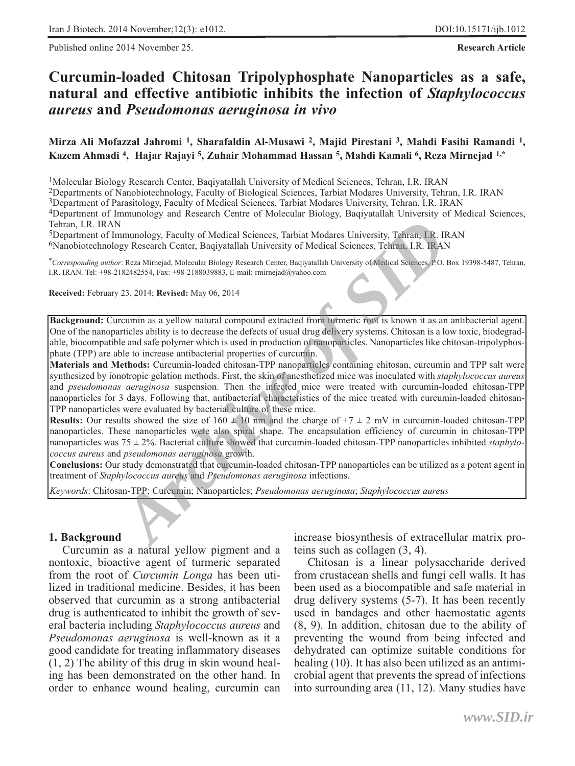Published online 2014 November 25. **Research Article**

# **Curcumin-loaded Chitosan Tripolyphosphate Nanoparticles as a safe, natural and effective antibiotic inhibits the infection of** *Staphylococcus aureus* **and** *Pseudomonas aeruginosa in vivo*

**Mirza Ali Mofazzal Jahromi 1, Sharafaldin Al-Musawi 2, Majid Pirestani 3, Mahdi Fasihi Ramandi 1, Kazem Ahmadi 4, Hajar Rajayi 5, Zuhair Mohammad Hassan 5, Mahdi Kamali 6, Reza Mirnejad 1,\***

1Molecular Biology Research Center, Baqiyatallah University of Medical Sciences, Tehran, I.R. IRAN

2Departments of Nanobiotechnology, Faculty of Biological Sciences, Tarbiat Modares University, Tehran, I.R. IRAN

3Department of Parasitology, Faculty of Medical Sciences, Tarbiat Modares University, Tehran, I.R. IRAN

4Department of Immunology and Research Centre of Molecular Biology, Baqiyatallah University of Medical Sciences, Tehran, I.R. IRAN

5Department of Immunology, Faculty of Medical Sciences, Tarbiat Modares University, Tehran, I.R. IRAN

6Nanobiotechnology Research Center, Baqiyatallah University of Medical Sciences, Tehran, I.R. IRAN

\**Corresponding author*: Reza Mirnejad, Molecular Biology Research Center, Baqiyatallah University of Medical Sciences, P.O. Box 19398-5487, Tehran, I.R. IRAN. Tel: +98-2182482554, Fax: +98-2188039883, E-mail: rmirnejad@yahoo.com

**Received:** February 23, 2014; **Revised:** May 06, 2014

**Background:** Curcumin as a yellow natural compound extracted from turmeric root is known it as an antibacterial agent. One of the nanoparticles ability is to decrease the defects of usual drug delivery systems. Chitosan is a low toxic, biodegradable, biocompatible and safe polymer which is used in production of nanoparticles. Nanoparticles like chitosan-tripolyphosphate (TPP) are able to increase antibacterial properties of curcumin.

**Materials and Methods:** Curcumin-loaded chitosan-TPP nanoparticles containing chitosan, curcumin and TPP salt were synthesized by ionotropic gelation methods. First, the skin of anesthetized mice was inoculated with *staphylococcus aureus* and *pseudomonas aeruginosa* suspension. Then the infected mice were treated with curcumin-loaded chitosan-TPP nanoparticles for 3 days. Following that, antibacterial characteristics of the mice treated with curcumin-loaded chitosan-TPP nanoparticles were evaluated by bacterial culture of these mice. **ECHAIN, LR. REAN: KEYAN:** Chitosan-TPP; Curcumin; I.B. IRAN: Technar, I.B. IRAN: *Keywordsig Research Center*, Baqiyatallah University of Medical Sciences, Tebran, I.R. IRAN: *Keywordsing author* Corresponding authors:

**Results:** Our results showed the size of  $160 \pm 10$  nm and the charge of  $+7 \pm 2$  mV in curcumin-loaded chitosan-TPP nanoparticles. These nanoparticles were also spiral shape. The encapsulation efficiency of curcumin in chitosan-TPP nanoparticles was 75 ± 2%. Bacterial culture showed that curcumin-loaded chitosan-TPP nanoparticles inhibited *staphylococcus aureus* and *pseudomonas aeruginosa* growth.

**Conclusions:** Our study demonstrated that curcumin-loaded chitosan-TPP nanoparticles can be utilized as a potent agent in treatment of *Staphylococcus aureus* and *Pseudomonas aeruginosa* infections.

#### **1. Background**

Curcumin as a natural yellow pigment and a nontoxic, bioactive agent of turmeric separated from the root of *Curcumin Longa* has been utilized in traditional medicine. Besides, it has been observed that curcumin as a strong antibacterial drug is authenticated to inhibit the growth of several bacteria including *Staphylococcus aureus* and *Pseudomonas aeruginosa* is well-known as it a good candidate for treating inflammatory diseases (1, 2) The ability of this drug in skin wound healing has been demonstrated on the other hand. In order to enhance wound healing, curcumin can increase biosynthesis of extracellular matrix proteins such as collagen (3, 4).

Chitosan is a linear polysaccharide derived from crustacean shells and fungi cell walls. It has been used as a biocompatible and safe material in drug delivery systems (5-7). It has been recently used in bandages and other haemostatic agents (8, 9). In addition, chitosan due to the ability of preventing the wound from being infected and dehydrated can optimize suitable conditions for healing (10). It has also been utilized as an antimicrobial agent that prevents the spread of infections into surrounding area (11, 12). Many studies have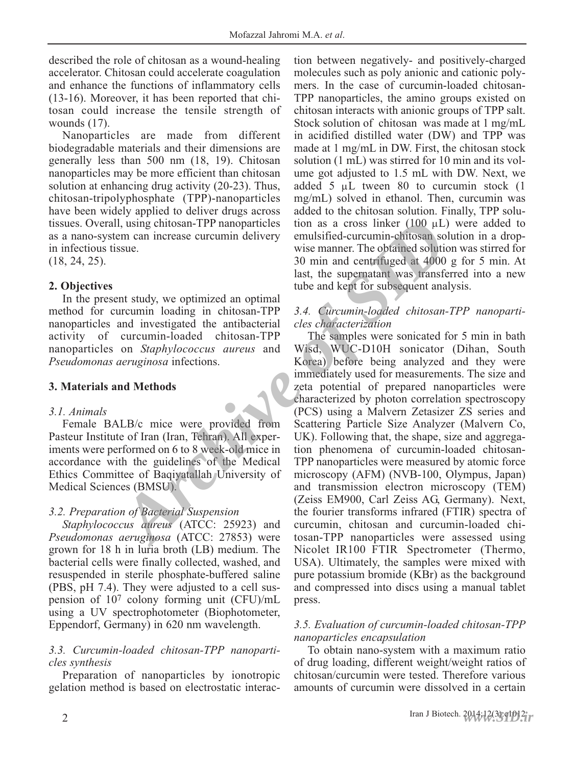described the role of chitosan as a wound-healing accelerator. Chitosan could accelerate coagulation and enhance the functions of inflammatory cells (13-16). Moreover, it has been reported that chitosan could increase the tensile strength of wounds (17).

Nanoparticles are made from different biodegradable materials and their dimensions are generally less than 500 nm (18, 19). Chitosan nanoparticles may be more efficient than chitosan solution at enhancing drug activity (20-23). Thus, chitosan-tripolyphosphate (TPP)-nanoparticles have been widely applied to deliver drugs across tissues. Overall, using chitosan-TPP nanoparticles as a nano-system can increase curcumin delivery in infectious tissue.

(18, 24, 25).

# **2. Objectives**

In the present study, we optimized an optimal method for curcumin loading in chitosan-TPP nanoparticles and investigated the antibacterial activity of curcumin-loaded chitosan-TPP nanoparticles on *Staphylococcus aureus* and *Pseudomonas aeruginosa* infections.

# **3. Materials and Methods**

### *3.1. Animals*

Female BALB/c mice were provided from Pasteur Institute of Iran (Iran, Tehran). All experiments were performed on 6 to 8 week-old mice in accordance with the guidelines of the Medical Ethics Committee of Baqiyatallah University of Medical Sciences (BMSU).

# *3.2. Preparation of Bacterial Suspension*

*Staphylococcus aureus* (ATCC: 25923) and *Pseudomonas aeruginosa* (ATCC: 27853) were grown for 18 h in luria broth (LB) medium. The bacterial cells were finally collected, washed, and resuspended in sterile phosphate-buffered saline (PBS, pH 7.4). They were adjusted to a cell suspension of 107 colony forming unit (CFU)/mL using a UV spectrophotometer (Biophotometer, Eppendorf, Germany) in 620 nm wavelength.

# *3.3. Curcumin-loaded chitosan-TPP nanoparticles synthesis*

Preparation of nanoparticles by ionotropic gelation method is based on electrostatic interaction between negatively- and positively-charged molecules such as poly anionic and cationic polymers. In the case of curcumin-loaded chitosan-TPP nanoparticles, the amino groups existed on chitosan interacts with anionic groups of TPP salt. Stock solution of chitosan was made at 1 mg/mL in acidified distilled water (DW) and TPP was made at 1 mg/mL in DW. First, the chitosan stock solution (1 mL) was stirred for 10 min and its volume got adjusted to 1.5 mL with DW. Next, we added 5  $\mu$ L tween 80 to curcumin stock (1) mg/mL) solved in ethanol. Then, curcumin was added to the chitosan solution. Finally, TPP solution as a cross linker  $(100 \mu L)$  were added to emulsified-curcumin-chitosan solution in a dropwise manner. The obtained solution was stirred for 30 min and centrifuged at 4000 g for 5 min. At last, the supernatant was transferred into a new tube and kept for subsequent analysis.

# *3.4. Curcumin-loaded chitosan-TPP nanoparticles characterization*

The samples were sonicated for 5 min in bath Wisd, WUC-D10H sonicator (Dihan, South Korea) before being analyzed and they were immediately used for measurements. The size and zeta potential of prepared nanoparticles were characterized by photon correlation spectroscopy (PCS) using a Malvern Zetasizer ZS series and Scattering Particle Size Analyzer (Malvern Co, UK). Following that, the shape, size and aggregation phenomena of curcumin-loaded chitosan-TPP nanoparticles were measured by atomic force microscopy (AFM) (NVB-100, Olympus, Japan) and transmission electron microscopy (TEM) (Zeiss EM900, Carl Zeiss AG, Germany). Next, the fourier transforms infrared (FTIR) spectra of curcumin, chitosan and curcumin-loaded chitosan-TPP nanoparticles were assessed using Nicolet IR100 FTIR Spectrometer (Thermo, USA). Ultimately, the samples were mixed with pure potassium bromide (KBr) as the background and compressed into discs using a manual tablet press. **Archive of SIME (100** and increase current in-<br> **Archive and increase current in-** example the summer The obtained solution<br>
30 min and centrifuged at 4000<br>
130 min and centrifuged at 4000<br>
130 min and centrifuged at 4000

### *3.5. Evaluation of curcumin-loaded chitosan-TPP nanoparticles encapsulation*

To obtain nano-system with a maximum ratio of drug loading, different weight/weight ratios of chitosan/curcumin were tested. Therefore various amounts of curcumin were dissolved in a certain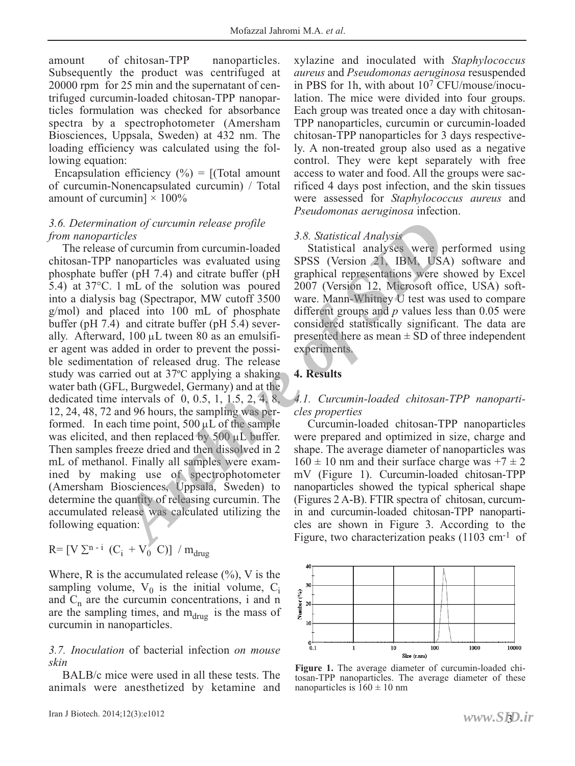amount of chitosan-TPP nanoparticles. Subsequently the product was centrifuged at 20000 rpm for 25 min and the supernatant of centrifuged curcumin-loaded chitosan-TPP nanoparticles formulation was checked for absorbance spectra by a spectrophotometer (Amersham Biosciences, Uppsala, Sweden) at 432 nm. The loading efficiency was calculated using the following equation:

Encapsulation efficiency  $(\% ) = [(\text{Total amount})$ of curcumin-Nonencapsulated curcumin) / Total amount of curcumin]  $\times$  100%

### *3.6. Determination of curcumin release profile from nanoparticles*

The release of curcumin from curcumin-loaded chitosan-TPP nanoparticles was evaluated using phosphate buffer (pH 7.4) and citrate buffer (pH 5.4) at 37°C. 1 mL of the solution was poured into a dialysis bag (Spectrapor, MW cutoff 3500 g/mol) and placed into 100 mL of phosphate buffer (pH 7.4) and citrate buffer (pH 5.4) severally. Afterward,  $100 \mu L$  tween 80 as an emulsifier agent was added in order to prevent the possible sedimentation of released drug. The release study was carried out at 37ºC applying a shaking water bath (GFL, Burgwedel, Germany) and at the dedicated time intervals of  $0, 0.5, 1, 1.5, 2, 4, 8$ , 12, 24, 48, 72 and 96 hours, the sampling was performed. In each time point,  $500 \mu L$  of the sample was elicited, and then replaced by 500 μL buffer. Then samples freeze dried and then dissolved in 2 mL of methanol. Finally all samples were examined by making use of spectrophotometer (Amersham Biosciences, Uppsala, Sweden) to determine the quantity of releasing curcumin. The accumulated release was calculated utilizing the following equation: *Archive of curcumin release profile*<br> *A.8. Statistical Analysis*<br> *Archive of curcumin from curcumin-loaded*<br> **Archive of Statistical analyses**<br> **Archive of Curcumin from curcumin-loaded**<br> **Archive of SID**<br> **Archive of S** 

$$
R = [V \Sigma^{n-i} (C_i + V_0^{\prime} C)] / m_{drug}
$$

Where, R is the accumulated release  $(\%),$  V is the sampling volume,  $V_0$  is the initial volume,  $C_i$ and  $C_n$  are the curcumin concentrations, i and n are the sampling times, and  $m_{\text{drug}}$  is the mass of curcumin in nanoparticles.

*3.7. Inoculation* of bacterial infection *on mouse skin*

BALB/c mice were used in all these tests. The animals were anesthetized by ketamine and xylazine and inoculated with *Staphylococcus aureus* and *Pseudomonas aeruginosa* resuspended in PBS for 1h, with about 107 CFU/mouse/inoculation. The mice were divided into four groups. Each group was treated once a day with chitosan-TPP nanoparticles, curcumin or curcumin-loaded chitosan-TPP nanoparticles for 3 days respectively. A non-treated group also used as a negative control. They were kept separately with free access to water and food. All the groups were sacrificed 4 days post infection, and the skin tissues were assessed for *Staphylococcus aureus* and *Pseudomonas aeruginosa* infection.

### *3.8. Statistical Analysis*

Statistical analyses were performed using SPSS (Version 21, IBM, USA) software and graphical representations were showed by Excel 2007 (Version 12, Microsoft office, USA) software. Mann-Whitney U test was used to compare different groups and *p* values less than 0.05 were considered statistically significant. The data are presented here as mean ± SD of three independent experiments.

### **4. Results**

### *4.1. Curcumin-loaded chitosan-TPP nanoparticles properties*

Curcumin-loaded chitosan-TPP nanoparticles were prepared and optimized in size, charge and shape. The average diameter of nanoparticles was  $160 \pm 10$  nm and their surface charge was  $+7 \pm 2$ mV (Figure 1). Curcumin-loaded chitosan-TPP nanoparticles showed the typical spherical shape (Figures 2 A-B). FTIR spectra of chitosan, curcumin and curcumin-loaded chitosan-TPP nanoparticles are shown in Figure 3. According to the Figure, two characterization peaks (1103 cm<sup>-1</sup> of



**Figure 1.** The average diameter of curcumin-loaded chitosan-TPP nanoparticles. The average diameter of these nanoparticles is  $160 \pm 10$  nm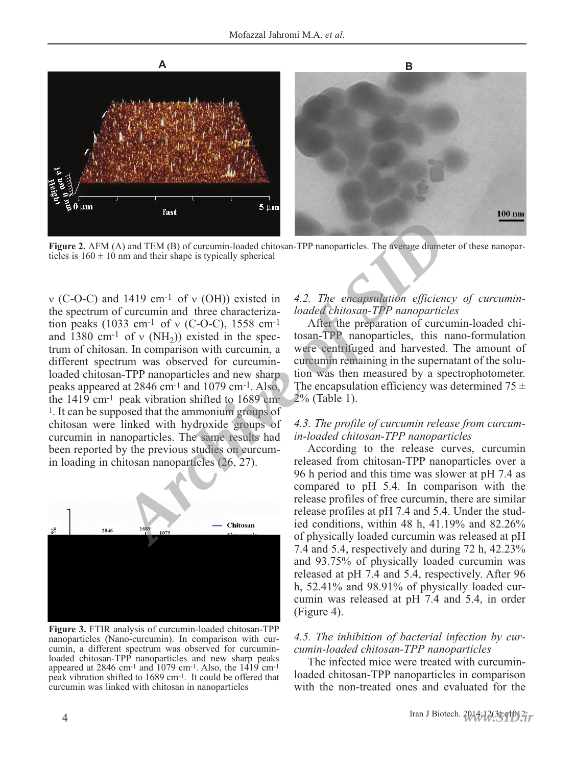

**Figure 2.** AFM (A) and TEM (B) of curcumin-loaded chitosan-TPP nanoparticles. The average diameter of these nanoparticles is  $160 \pm 10$  nm and their shape is typically spherical

ν (C-O-C) and 1419 cm-1 of ν (OH)) existed in the spectrum of curcumin and three characterization peaks (1033 cm<sup>-1</sup> of v (C-O-C), 1558 cm<sup>-1</sup> and 1380 cm<sup>-1</sup> of v (NH<sub>2</sub>)) existed in the spectrum of chitosan. In comparison with curcumin, a different spectrum was observed for curcuminloaded chitosan-TPP nanoparticles and new sharp peaks appeared at 2846 cm-1 and 1079 cm-1. Also, the 1419 cm-1 peak vibration shifted to 1689 cm-1. It can be supposed that the ammonium groups of chitosan were linked with hydroxide groups of curcumin in nanoparticles. The same results had been reported by the previous studies on curcumin loading in chitosan nanoparticles (26, 27). **A)** and TEM (B) of curcumin-loaded chitosan-TPP nanoparticles. The average diameter in and their shape is typically spherical<br> **Archive of COV** of Curcumin and three characteriza-<br> **Archive of Cover of Cover of Cover of** 



**Figure 3.** FTIR analysis of curcumin-loaded chitosan-TPP nanoparticles (Nano-curcumin). In comparison with curcumin, a different spectrum was observed for curcuminloaded chitosan-TPP nanoparticles and new sharp peaks appeared at 2846 cm<sup>-1</sup> and  $1079$  cm<sup>-1</sup>. Also, the  $1419$  cm<sup>-1</sup> peak vibration shifted to 1689 cm-1. It could be offered that curcumin was linked with chitosan in nanoparticles

#### *4.2. The encapsulation efficiency of curcuminloaded chitosan-TPP nanoparticles*

After the preparation of curcumin-loaded chitosan-TPP nanoparticles, this nano-formulation were centrifuged and harvested. The amount of curcumin remaining in the supernatant of the solution was then measured by a spectrophotometer. The encapsulation efficiency was determined  $75 \pm$ 2% (Table 1).

#### *4.3. The profile of curcumin release from curcumin-loaded chitosan-TPP nanoparticles*

According to the release curves, curcumin released from chitosan-TPP nanoparticles over a 96 h period and this time was slower at pH 7.4 as compared to pH 5.4. In comparison with the release profiles of free curcumin, there are similar release profiles at pH 7.4 and 5.4. Under the studied conditions, within 48 h, 41.19% and 82.26% of physically loaded curcumin was released at pH 7.4 and 5.4, respectively and during 72 h, 42.23% and 93.75% of physically loaded curcumin was released at pH 7.4 and 5.4, respectively. After 96 h, 52.41% and 98.91% of physically loaded curcumin was released at pH 7.4 and 5.4, in order (Figure 4).

### *4.5. The inhibition of bacterial infection by curcumin-loaded chitosan-TPP nanoparticles*

The infected mice were treated with curcuminloaded chitosan-TPP nanoparticles in comparison with the non-treated ones and evaluated for the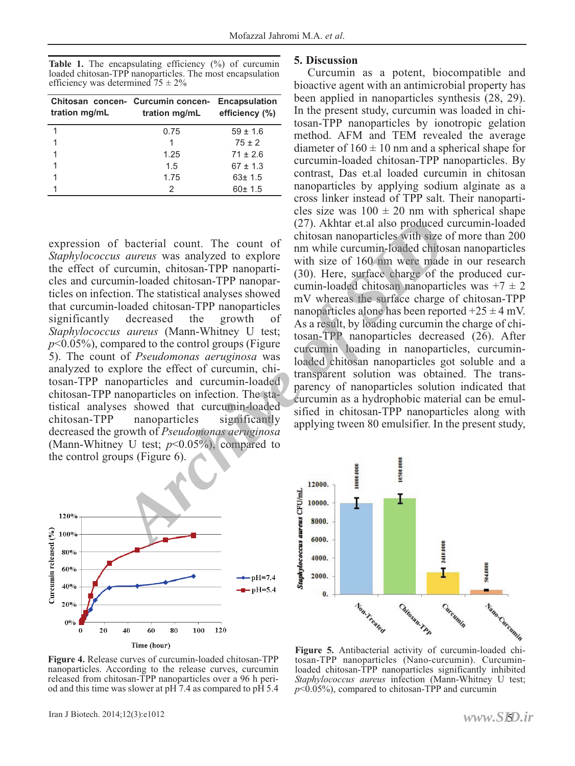Table 1. The encapsulating efficiency (%) of curcumin loaded chitosan-TPP nanoparticles. The most encapsulation efficiency was determined  $75 \pm 2\%$ 

| tration mg/mL | Chitosan concen- Curcumin concen- Encapsulation<br>tration mg/mL efficiency (%) |              |
|---------------|---------------------------------------------------------------------------------|--------------|
|               | 0.75                                                                            | $59 \pm 1.6$ |
|               |                                                                                 | $75 \pm 2$   |
|               | 1.25                                                                            | $71 + 26$    |
|               | 1.5                                                                             | $67 \pm 1.3$ |
|               | 1.75                                                                            | $63 \pm 1.5$ |
|               | 2                                                                               | 60±1.5       |

expression of bacterial count. The count of *Staphylococcus aureus* was analyzed to explore the effect of curcumin, chitosan-TPP nanoparticles and curcumin-loaded chitosan-TPP nanoparticles on infection. The statistical analyses showed that curcumin-loaded chitosan-TPP nanoparticles significantly decreased the growth of *Staphylococcus aureus* (Mann-Whitney U test;  $p$ <0.05%), compared to the control groups (Figure 5). The count of *Pseudomonas aeruginosa* was analyzed to explore the effect of curcumin, chitosan-TPP nanoparticles and curcumin-loaded chitosan-TPP nanoparticles on infection. The statistical analyses showed that curcumin-loaded<br>chitosan-TPP nanoparticles significantly chitosan-TPP nanoparticles decreased the growth of *Pseudomonas aeruginosa* (Mann-Whitney U test;  $p<0.05\%$ ), compared to the control groups (Figure 6). <sup>2</sup> bacterial count. The count of mission anoparticles with size or announced through an anoparticle with size of 160 mm were made derivative in surface charge of the surface charge of the surface charge of the surface cha



#### **5. Discussion**

Curcumin as a potent, biocompatible and bioactive agent with an antimicrobial property has been applied in nanoparticles synthesis (28, 29). In the present study, curcumin was loaded in chitosan-TPP nanoparticles by ionotropic gelation method. AFM and TEM revealed the average diameter of  $160 \pm 10$  nm and a spherical shape for curcumin-loaded chitosan-TPP nanoparticles. By contrast, Das et.al loaded curcumin in chitosan nanoparticles by applying sodium alginate as a cross linker instead of TPP salt. Their nanoparticles size was  $100 \pm 20$  nm with spherical shape (27). Akhtar et.al also produced curcumin-loaded chitosan nanoparticles with size of more than 200 nm while curcumin-loaded chitosan nanoparticles with size of 160 nm were made in our research (30). Here, surface charge of the produced curcumin-loaded chitosan nanoparticles was  $+7 \pm 2$ mV whereas the surface charge of chitosan-TPP nanoparticles alone has been reported  $+25 \pm 4$  mV. As a result, by loading curcumin the charge of chitosan-TPP nanoparticles decreased (26). After curcumin loading in nanoparticles, curcuminloaded chitosan nanoparticles got soluble and a transparent solution was obtained. The transparency of nanoparticles solution indicated that curcumin as a hydrophobic material can be emulsified in chitosan-TPP nanoparticles along with applying tween 80 emulsifier. In the present study,



**Figure 4.** Release curves of curcumin-loaded chitosan-TPP nanoparticles. According to the release curves, curcumin released from chitosan-TPP nanoparticles over a 96 h period and this time was slower at  $pH \overline{7.4}$  as compared to  $p\overline{H} 5.4$ 

tosan-TPP nanoparticles (Nano-curcumin). Curcuminloaded chitosan-TPP nanoparticles significantly inhibited *Staphylococcus aureus* infection (Mann-Whitney U test;  $p<0.05\%$ , compared to chitosan-TPP and curcumin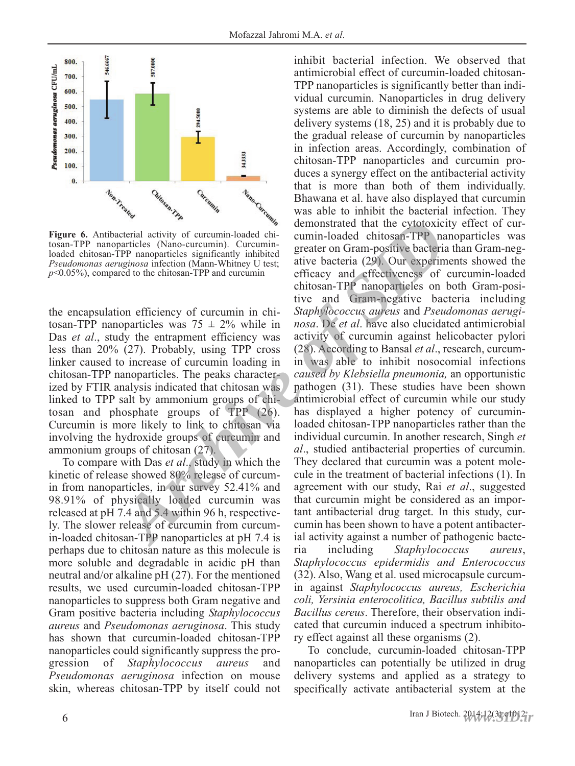

tosan-TPP nanoparticles (Nano-curcumin). Curcuminloaded chitosan-TPP nanoparticles significantly inhibited *Pseudomonas aeruginosa* infection (Mann-Whitney U test;

the encapsulation efficiency of curcumin in chitosan-TPP nanoparticles was  $75 \pm 2\%$  while in Das *et al.*, study the entrapment efficiency was less than 20% (27). Probably, using TPP cross linker caused to increase of curcumin loading in chitosan-TPP nanoparticles. The peaks characterized by FTIR analysis indicated that chitosan was linked to TPP salt by ammonium groups of chitosan and phosphate groups of TPP (26). Curcumin is more likely to link to chitosan via involving the hydroxide groups of curcumin and ammonium groups of chitosan (27).

To compare with Das *et al*., study in which the kinetic of release showed 80% release of curcumin from nanoparticles, in our survey 52.41% and 98.91% of physically loaded curcumin was released at pH 7.4 and 5.4 within 96 h, respectively. The slower release of curcumin from curcumin-loaded chitosan-TPP nanoparticles at pH 7.4 is perhaps due to chitosan nature as this molecule is more soluble and degradable in acidic pH than neutral and/or alkaline pH (27). For the mentioned results, we used curcumin-loaded chitosan-TPP nanoparticles to suppress both Gram negative and Gram positive bacteria including *Staphylococcus aureus* and *Pseudomonas aeruginosa*. This study has shown that curcumin-loaded chitosan-TPP nanoparticles could significantly suppress the progression of *Staphylococcus aureus* and *Pseudomonas aeruginosa* infection on mouse skin, whereas chitosan-TPP by itself could not

inhibit bacterial infection. We observed that antimicrobial effect of curcumin-loaded chitosan-TPP nanoparticles is significantly better than individual curcumin. Nanoparticles in drug delivery systems are able to diminish the defects of usual delivery systems (18, 25) and it is probably due to the gradual release of curcumin by nanoparticles in infection areas. Accordingly, combination of chitosan-TPP nanoparticles and curcumin produces a synergy effect on the antibacterial activity that is more than both of them individually. Bhawana et al. have also displayed that curcumin was able to inhibit the bacterial infection. They demonstrated that the cytotoxicity effect of curcumin-loaded chitosan-TPP nanoparticles was greater on Gram-positive bacteria than Gram-negative bacteria (29). Our experiments showed the efficacy and effectiveness of curcumin-loaded chitosan-TPP nanoparticles on both Gram-positive and Gram-negative bacteria including *Staphylococcus aureus* and *Pseudomonas aeruginosa*. De *et al*. have also elucidated antimicrobial activity of curcumin against helicobacter pylori (28). According to Bansal *et al*., research, curcumin was able to inhibit nosocomial infections *caused by Klebsiella pneumonia,* an opportunistic pathogen (31). These studies have been shown antimicrobial effect of curcumin while our study has displayed a higher potency of curcuminloaded chitosan-TPP nanoparticles rather than the individual curcumin. In another research, Singh *et al*., studied antibacterial properties of curcumin. They declared that curcumin was a potent molecule in the treatment of bacterial infections (1). In agreement with our study, Rai *et al*., suggested that curcumin might be considered as an important antibacterial drug target. In this study, curcumin has been shown to have a potent antibacterial activity against a number of pathogenic bacteria including *Staphylococcus aureus*, *Staphylococcus epidermidis and Enterococcus* (32). Also, Wang et al. used microcapsule curcumin against *Staphylococcus aureus, Escherichia coli, Yersinia enterocolitica, Bacillus subtilis and Bacillus cereus*. Therefore, their observation indicated that curcumin induced a spectrum inhibitory effect against all these organisms (2). **Figure 6.** Antibacterial activity of curcumin-loaded the chitosan-TPP anonstrated that the cytotoxic tosan-TPP anonarticles (Nano-curcumin). Curcumin-loaded chitosan-TPP anonarticles (Nano-curcumin) in this *Stephylococc* 

To conclude, curcumin-loaded chitosan-TPP nanoparticles can potentially be utilized in drug delivery systems and applied as a strategy to specifically activate antibacterial system at the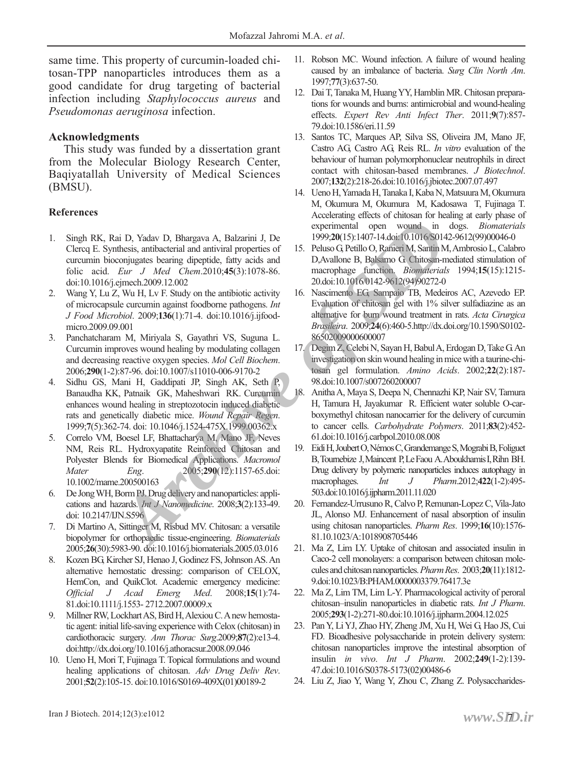same time. This property of curcumin-loaded chitosan-TPP nanoparticles introduces them as a good candidate for drug targeting of bacterial infection including *Staphylococcus aureus* and *Pseudomonas aeruginosa* infection.

#### **Acknowledgments**

This study was funded by a dissertation grant from the Molecular Biology Research Center, Baqiyatallah University of Medical Sciences (BMSU).

#### **References**

- 1. Singh RK, Rai D, Yadav D, Bhargava A, Balzarini J, De Clercq E. Synthesis, antibacterial and antiviral properties of curcumin bioconjugates bearing dipeptide, fatty acids and folic acid. *Eur J Med Chem*.2010;**45**(3):1078-86. doi:10.1016/j.ejmech.2009.12.002
- 2. Wang Y, Lu Z, Wu H, Lv F. Study on the antibiotic activity of microcapsule curcumin against foodborne pathogens. *Int J Food Microbiol*. 2009;**136**(1):71-4. doi:10.1016/j.ijfoodmicro.2009.09.001
- 3. Panchatcharam M, Miriyala S, Gayathri VS, Suguna L. Curcumin improves wound healing by modulating collagen and decreasing reactive oxygen species. *Mol Cell Biochem*. 2006;**290**(1-2):87-96. doi:10.1007/s11010-006-9170-2
- 4. Sidhu GS, Mani H, Gaddipati JP, Singh AK, Seth P, Banaudha KK, Patnaik GK, Maheshwari RK. Curcumin enhances wound healing in streptozotocin induced diabetic rats and genetically diabetic mice. *Wound Repair Regen*. 1999;**7**(5):362-74. doi: 10.1046/j.1524-475X.1999.00362.x **Archive of Schematical** open wound in thesis, antibacterial and antiviral properties of 15. Pelaso Q. (5):1407-14 doin'0.006-801<br> *Archive of Siddin* D. (1992-2005). 1407-14 doin'0.000-8001<br> *Archive of Chitesian-2010.45(*
- 5. Correlo VM, Boesel LF, Bhattacharya M, Mano JF, Neves NM, Reis RL. Hydroxyapatite Reinforced Chitosan and Polyester Blends for Biomedical Applications. *Macromol Mater Eng*. 2005;**290**(12):1157-65.doi: 10.1002/mame.200500163
- 6. De Jong WH, Borm PJ. Drug delivery and nanoparticles: applications and hazards. *Int J Nanomedicine*. 2008;**3**(2):133-49. doi: 10.2147/IJN.S596
- 7. Di Martino A, Sittinger M, Risbud MV. Chitosan: a versatile biopolymer for orthopaedic tissue-engineering. *Biomaterials* 2005;**26**(30):5983-90. doi:10.1016/j.biomaterials.2005.03.016
- 8. Kozen BG, Kircher SJ, Henao J, Godinez FS, Johnson AS. An alternative hemostatic dressing: comparison of CELOX, HemCon, and QuikClot. Academic emergency medicine: *Official J Acad Emerg Med*. 2008;**15**(1):74- 81.doi:10.1111/j.1553- 2712.2007.00009.x
- 9. Millner RW, Lockhart AS, Bird H, Alexiou C. Anew hemostatic agent: initial life-saving experience with Celox (chitosan) in cardiothoracic surgery. *Ann Thorac Surg*.2009;**87**(2):e13-4. doi:http://dx.doi.org/10.1016/j.athoracsur.2008.09.046
- 10. Ueno H, Mori T, Fujinaga T. Topical formulations and wound healing applications of chitosan. *Adv Drug Deliv Rev*. 2001;**52**(2):105-15. doi:10.1016/S0169-409X(01)00189-2
- 11. Robson MC. Wound infection. A failure of wound healing caused by an imbalance of bacteria. *Surg Clin North Am*. 1997;**77**(3):637-50.
- 12. Dai T, Tanaka M, Huang YY, Hamblin MR. Chitosan preparations for wounds and burns: antimicrobial and wound-healing effects. *Expert Rev Anti Infect Ther*. 2011;**9**(7):857- 79.doi:10.1586/eri.11.59
- 13. Santos TC, Marques AP, Silva SS, Oliveira JM, Mano JF, Castro AG, Castro AG, Reis RL. *In vitro* evaluation of the behaviour of human polymorphonuclear neutrophils in direct contact with chitosan-based membranes. *J Biotechnol*. 2007;**132**(2):218-26.doi:10.1016/j.jbiotec.2007.07.497
- 14. Ueno H, Yamada H, Tanaka I, Kaba N, Matsuura M, Okumura M, Okumura M, Okumura M, Kadosawa T, Fujinaga T. Accelerating effects of chitosan for healing at early phase of experimental open wound in dogs. *Biomaterials* 1999;**20**(15):1407-14.doi:10.1016/S0142-9612(99)00046-0
- 15. Peluso G, Petillo O, Ranieri M, Santin M, Ambrosio L, Calabro D,Avallone B, Balsamo G. Chitosan-mediated stimulation of macrophage function. *Biomaterials* 1994;**15**(15):1215- 20.doi:10.1016/0142-9612(94)90272-0
- 16. Nascimento EG, Sampaio TB, Medeiros AC, Azevedo EP. Evaluation of chitosan gel with 1% silver sulfadiazine as an alternative for burn wound treatment in rats. *Acta Cirurgica Brasileira*. 2009;**24**(6):460-5.http://dx.doi.org/10.1590/S0102- 86502009000600007
- 17. Degim Z, Celebi N, Sayan H, Babul A, Erdogan D, Take G. An investigation on skin wound healing in mice with a taurine-chitosan gel formulation. *Amino Acids*. 2002;**22**(2):187- 98.doi:10.1007/s007260200007
- 18. Anitha A, Maya S, Deepa N, Chennazhi KP, Nair SV, Tamura H, Tamura H, Jayakumar R. Efficient water soluble O-carboxymethyl chitosan nanocarrier for the delivery of curcumin to cancer cells. *Carbohydrate Polymers*. 2011;**83**(2):452- 61.doi:10.1016/j.carbpol.2010.08.008
- 19. Eidi H, Joubert O, Némos C, Grandemange S, Mograbi B, Foliguet B, Tournebize J, Maincent P, Le Faou A. Aboukhamis I, Rihn BH. Drug delivery by polymeric nanoparticles induces autophagy in macrophages. *Int J Pharm*.2012;**422**(1-2):495- 503.doi:10.1016/j.ijpharm.2011.11.020
- 20. Fernandez-Urrusuno R, Calvo P, Remunan-Lopez C, Vila-Jato JL, Alonso MJ. Enhancement of nasal absorption of insulin using chitosan nanoparticles. *Pharm Res*. 1999;**16**(10):1576- 81.10.1023/A:1018908705446
- 21. Ma Z, Lim LY. Uptake of chitosan and associated insulin in Caco-2 cell monolayers: a comparison between chitosan molecules and chitosan nanoparticles. *Pharm Res*. 2003;**20**(11):1812- 9.doi:10.1023/B:PHAM.0000003379.76417.3e
- 22. Ma Z, Lim TM, Lim L-Y. Pharmacological activity of peroral chitosan–insulin nanoparticles in diabetic rats. *Int J Pharm*. 2005;**293**(1-2):271-80.doi:10.1016/j.ijpharm.2004.12.025
- 23. Pan Y, Li YJ, Zhao HY, Zheng JM, Xu H, Wei G, Hao JS, Cui FD. Bioadhesive polysaccharide in protein delivery system: chitosan nanoparticles improve the intestinal absorption of insulin *in vivo*. *Int J Pharm*. 2002;**249**(1-2):139- 47.doi:10.1016/S0378-5173(02)00486-6
- 24. Liu Z, Jiao Y, Wang Y, Zhou C, Zhang Z. Polysaccharides-